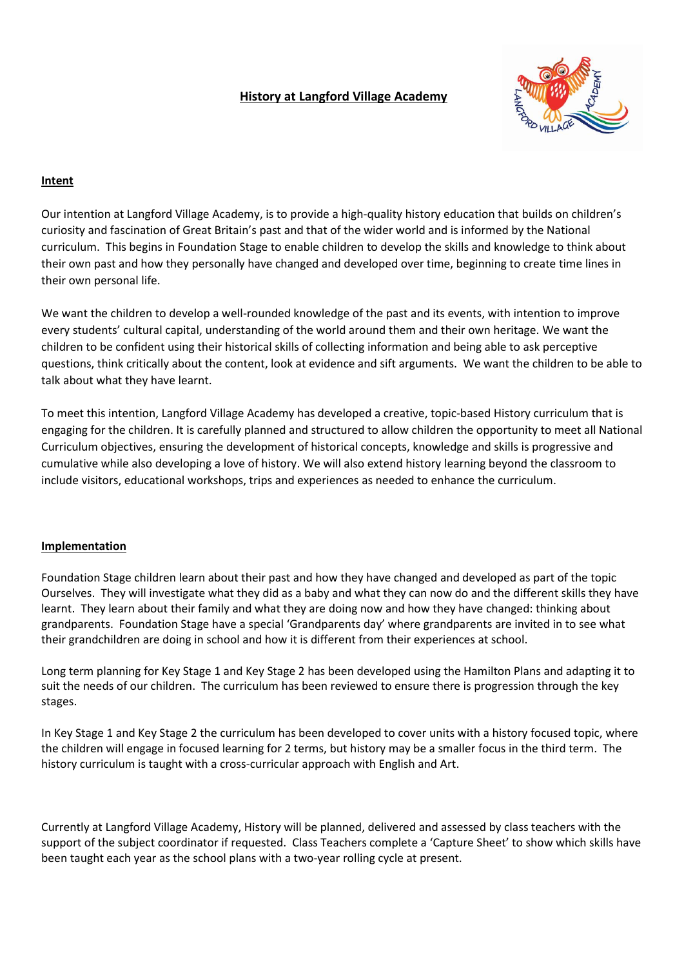## **History at Langford Village Academy**



## **Intent**

Our intention at Langford Village Academy, is to provide a high-quality history education that builds on children's curiosity and fascination of Great Britain's past and that of the wider world and is informed by the National curriculum. This begins in Foundation Stage to enable children to develop the skills and knowledge to think about their own past and how they personally have changed and developed over time, beginning to create time lines in their own personal life.

We want the children to develop a well-rounded knowledge of the past and its events, with intention to improve every students' cultural capital, understanding of the world around them and their own heritage. We want the children to be confident using their historical skills of collecting information and being able to ask perceptive questions, think critically about the content, look at evidence and sift arguments. We want the children to be able to talk about what they have learnt.

To meet this intention, Langford Village Academy has developed a creative, topic-based History curriculum that is engaging for the children. It is carefully planned and structured to allow children the opportunity to meet all National Curriculum objectives, ensuring the development of historical concepts, knowledge and skills is progressive and cumulative while also developing a love of history. We will also extend history learning beyond the classroom to include visitors, educational workshops, trips and experiences as needed to enhance the curriculum.

## **Implementation**

Foundation Stage children learn about their past and how they have changed and developed as part of the topic Ourselves. They will investigate what they did as a baby and what they can now do and the different skills they have learnt. They learn about their family and what they are doing now and how they have changed: thinking about grandparents. Foundation Stage have a special 'Grandparents day' where grandparents are invited in to see what their grandchildren are doing in school and how it is different from their experiences at school.

Long term planning for Key Stage 1 and Key Stage 2 has been developed using the Hamilton Plans and adapting it to suit the needs of our children. The curriculum has been reviewed to ensure there is progression through the key stages.

In Key Stage 1 and Key Stage 2 the curriculum has been developed to cover units with a history focused topic, where the children will engage in focused learning for 2 terms, but history may be a smaller focus in the third term. The history curriculum is taught with a cross-curricular approach with English and Art.

Currently at Langford Village Academy, History will be planned, delivered and assessed by class teachers with the support of the subject coordinator if requested. Class Teachers complete a 'Capture Sheet' to show which skills have been taught each year as the school plans with a two-year rolling cycle at present.